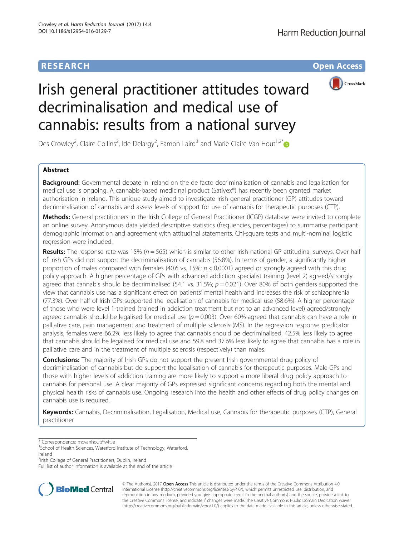# **RESEARCH CHE Open Access**



# Irish general practitioner attitudes toward decriminalisation and medical use of cannabis: results from a national survey

Des Crowley<sup>2</sup>, Claire Collins<sup>2</sup>, Ide Delargy<sup>2</sup>, Eamon Laird<sup>3</sup> and Marie Claire Van Hout<sup>1,2\*</sup>

# Abstract

**Background:** Governmental debate in Ireland on the de facto decriminalisation of cannabis and legalisation for medical use is ongoing. A cannabis-based medicinal product (Sativex®) has recently been granted market authorisation in Ireland. This unique study aimed to investigate Irish general practitioner (GP) attitudes toward decriminalisation of cannabis and assess levels of support for use of cannabis for therapeutic purposes (CTP).

Methods: General practitioners in the Irish College of General Practitioner (ICGP) database were invited to complete an online survey. Anonymous data yielded descriptive statistics (frequencies, percentages) to summarise participant demographic information and agreement with attitudinal statements. Chi-square tests and multi-nominal logistic regression were included.

Results: The response rate was 15% ( $n = 565$ ) which is similar to other Irish national GP attitudinal surveys. Over half of Irish GPs did not support the decriminalisation of cannabis (56.8%). In terms of gender, a significantly higher proportion of males compared with females (40.6 vs. 15%;  $p < 0.0001$ ) agreed or strongly agreed with this drug policy approach. A higher percentage of GPs with advanced addiction specialist training (level 2) agreed/strongly agreed that cannabis should be decriminalised (54.1 vs. 31.5%;  $p = 0.021$ ). Over 80% of both genders supported the view that cannabis use has a significant effect on patients' mental health and increases the risk of schizophrenia (77.3%). Over half of Irish GPs supported the legalisation of cannabis for medical use (58.6%). A higher percentage of those who were level 1-trained (trained in addiction treatment but not to an advanced level) agreed/strongly agreed cannabis should be legalised for medical use  $(p = 0.003)$ . Over 60% agreed that cannabis can have a role in palliative care, pain management and treatment of multiple sclerosis (MS). In the regression response predicator analysis, females were 66.2% less likely to agree that cannabis should be decriminalised, 42.5% less likely to agree that cannabis should be legalised for medical use and 59.8 and 37.6% less likely to agree that cannabis has a role in palliative care and in the treatment of multiple sclerosis (respectively) than males.

**Conclusions:** The majority of Irish GPs do not support the present Irish governmental drug policy of decriminalisation of cannabis but do support the legalisation of cannabis for therapeutic purposes. Male GPs and those with higher levels of addiction training are more likely to support a more liberal drug policy approach to cannabis for personal use. A clear majority of GPs expressed significant concerns regarding both the mental and physical health risks of cannabis use. Ongoing research into the health and other effects of drug policy changes on cannabis use is required.

Keywords: Cannabis, Decriminalisation, Legalisation, Medical use, Cannabis for therapeutic purposes (CTP), General practitioner

\* Correspondence: [mcvanhout@wit.ie](mailto:mcvanhout@wit.ie) <sup>1</sup>

<sup>1</sup>School of Health Sciences, Waterford Institute of Technology, Waterford, Ireland

<sup>2</sup>Irish College of General Practitioners, Dublin, Ireland

Full list of author information is available at the end of the article



© The Author(s). 2017 **Open Access** This article is distributed under the terms of the Creative Commons Attribution 4.0 International License [\(http://creativecommons.org/licenses/by/4.0/](http://creativecommons.org/licenses/by/4.0/)), which permits unrestricted use, distribution, and reproduction in any medium, provided you give appropriate credit to the original author(s) and the source, provide a link to the Creative Commons license, and indicate if changes were made. The Creative Commons Public Domain Dedication waiver [\(http://creativecommons.org/publicdomain/zero/1.0/](http://creativecommons.org/publicdomain/zero/1.0/)) applies to the data made available in this article, unless otherwise stated.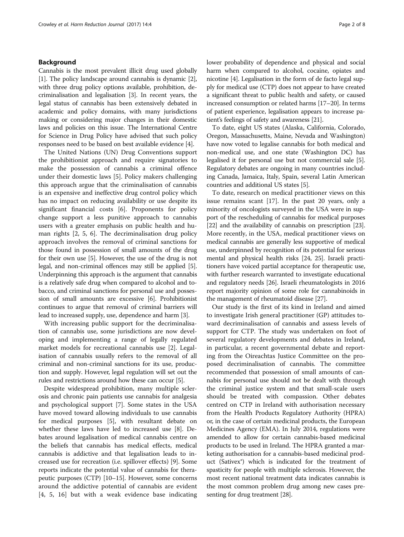# Background

Cannabis is the most prevalent illicit drug used globally [[1\]](#page-6-0). The policy landscape around cannabis is dynamic [[2](#page-6-0)], with three drug policy options available, prohibition, decriminalisation and legalisation [[3\]](#page-6-0). In recent years, the legal status of cannabis has been extensively debated in academic and policy domains, with many jurisdictions making or considering major changes in their domestic laws and policies on this issue. The International Centre for Science in Drug Policy have advised that such policy responses need to be based on best available evidence [\[4](#page-6-0)].

The United Nations (UN) Drug Conventions support the prohibitionist approach and require signatories to make the possession of cannabis a criminal offence under their domestic laws [\[5](#page-7-0)]. Policy makers challenging this approach argue that the criminalisation of cannabis is an expensive and ineffective drug control policy which has no impact on reducing availability or use despite its significant financial costs [\[6\]](#page-7-0). Proponents for policy change support a less punitive approach to cannabis users with a greater emphasis on public health and human rights [[2,](#page-6-0) [5](#page-7-0), [6\]](#page-7-0). The decriminalisation drug policy approach involves the removal of criminal sanctions for those found in possession of small amounts of the drug for their own use [\[5\]](#page-7-0). However, the use of the drug is not legal, and non-criminal offences may still be applied [[5](#page-7-0)]. Underpinning this approach is the argument that cannabis is a relatively safe drug when compared to alcohol and tobacco, and criminal sanctions for personal use and possession of small amounts are excessive [[6\]](#page-7-0). Prohibitionist continues to argue that removal of criminal barriers will lead to increased supply, use, dependence and harm [[3](#page-6-0)].

With increasing public support for the decriminalisation of cannabis use, some jurisdictions are now developing and implementing a range of legally regulated market models for recreational cannabis use [\[2\]](#page-6-0). Legalisation of cannabis usually refers to the removal of all criminal and non-criminal sanctions for its use, production and supply. However, legal regulation will set out the rules and restrictions around how these can occur [\[5](#page-7-0)].

Despite widespread prohibition, many multiple sclerosis and chronic pain patients use cannabis for analgesia and psychological support [[7\]](#page-7-0). Some states in the USA have moved toward allowing individuals to use cannabis for medical purposes [[5\]](#page-7-0), with resultant debate on whether these laws have led to increased use [\[8](#page-7-0)]. Debates around legalisation of medical cannabis centre on the beliefs that cannabis has medical effects, medical cannabis is addictive and that legalisation leads to increased use for recreation (i.e. spillover effects) [[9\]](#page-7-0). Some reports indicate the potential value of cannabis for therapeutic purposes (CTP) [\[10](#page-7-0)–[15](#page-7-0)]. However, some concerns around the addictive potential of cannabis are evident [[4,](#page-6-0) [5, 16\]](#page-7-0) but with a weak evidence base indicating lower probability of dependence and physical and social harm when compared to alcohol, cocaine, opiates and nicotine [\[4\]](#page-6-0). Legalisation in the form of de facto legal supply for medical use (CTP) does not appear to have created a significant threat to public health and safety, or caused increased consumption or related harms [[17](#page-7-0)–[20\]](#page-7-0). In terms of patient experience, legalisation appears to increase patient's feelings of safety and awareness [\[21\]](#page-7-0).

To date, eight US states (Alaska, California, Colorado, Oregon, Massachusetts, Maine, Nevada and Washington) have now voted to legalise cannabis for both medical and non-medical use, and one state (Washington DC) has legalised it for personal use but not commercial sale [[5](#page-7-0)]. Regulatory debates are ongoing in many countries including Canada, Jamaica, Italy, Spain, several Latin American countries and additional US states [[5\]](#page-7-0).

To date, research on medical practitioner views on this issue remains scant [\[17\]](#page-7-0). In the past 20 years, only a minority of oncologists surveyed in the USA were in support of the rescheduling of cannabis for medical purposes [[22](#page-7-0)] and the availability of cannabis on prescription [[23](#page-7-0)]. More recently, in the USA, medical practitioner views on medical cannabis are generally less supportive of medical use, underpinned by recognition of its potential for serious mental and physical health risks [[24, 25\]](#page-7-0). Israeli practitioners have voiced partial acceptance for therapeutic use, with further research warranted to investigate educational and regulatory needs [[26](#page-7-0)]. Israeli rheumatologists in 2016 report majority opinion of some role for cannabinoids in the management of rheumatoid disease [[27](#page-7-0)].

Our study is the first of its kind in Ireland and aimed to investigate Irish general practitioner (GP) attitudes toward decriminalisation of cannabis and assess levels of support for CTP. The study was undertaken on foot of several regulatory developments and debates in Ireland, in particular, a recent governmental debate and reporting from the Oireachtas Justice Committee on the proposed decriminalisation of cannabis. The committee recommended that possession of small amounts of cannabis for personal use should not be dealt with through the criminal justice system and that small-scale users should be treated with compassion. Other debates centred on CTP in Ireland with authorisation necessary from the Health Products Regulatory Authority (HPRA) or, in the case of certain medicinal products, the European Medicines Agency (EMA). In July 2014, regulations were amended to allow for certain cannabis-based medicinal products to be used in Ireland. The HPRA granted a marketing authorisation for a cannabis-based medicinal product (Sativex®) which is indicated for the treatment of spasticity for people with multiple sclerosis. However, the most recent national treatment data indicates cannabis is the most common problem drug among new cases presenting for drug treatment [\[28](#page-7-0)].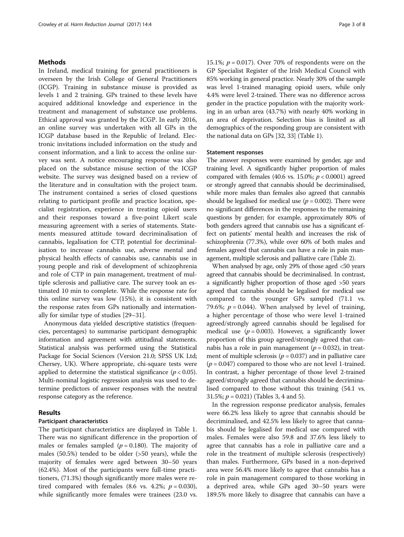# Methods

In Ireland, medical training for general practitioners is overseen by the Irish College of General Practitioners (ICGP). Training in substance misuse is provided as levels 1 and 2 training. GPs trained to these levels have acquired additional knowledge and experience in the treatment and management of substance use problems. Ethical approval was granted by the ICGP. In early 2016, an online survey was undertaken with all GPs in the ICGP database based in the Republic of Ireland. Electronic invitations included information on the study and consent information, and a link to access the online survey was sent. A notice encouraging response was also placed on the substance misuse section of the ICGP website. The survey was designed based on a review of the literature and in consultation with the project team. The instrument contained a series of closed questions relating to participant profile and practice location, specialist registration, experience in treating opioid users and their responses toward a five-point Likert scale measuring agreement with a series of statements. Statements measured attitude toward decriminalisation of cannabis, legalisation for CTP, potential for decriminalisation to increase cannabis use, adverse mental and physical health effects of cannabis use, cannabis use in young people and risk of development of schizophrenia and role of CTP in pain management, treatment of multiple sclerosis and palliative care. The survey took an estimated 10 min to complete. While the response rate for this online survey was low (15%), it is consistent with the response rates from GPs nationally and internationally for similar type of studies [\[29](#page-7-0)–[31\]](#page-7-0).

Anonymous data yielded descriptive statistics (frequencies, percentages) to summarise participant demographic information and agreement with attitudinal statements. Statistical analysis was performed using the Statistical Package for Social Sciences (Version 21.0; SPSS UK Ltd; Chersey, UK). Where appropriate, chi-square tests were applied to determine the statistical significance ( $p < 0.05$ ). Multi-nominal logistic regression analysis was used to determine predictors of answer responses with the neutral response category as the reference.

## Results

# Participant characteristics

The participant characteristics are displayed in Table [1](#page-3-0). There was no significant difference in the proportion of males or females sampled ( $p = 0.180$ ). The majority of males (50.5%) tended to be older (>50 years), while the majority of females were aged between 30–50 years (62.4%). Most of the participants were full-time practitioners, (71.3%) though significantly more males were retired compared with females (8.6 vs. 4.2%;  $p = 0.030$ ), while significantly more females were trainees (23.0 vs.

15.1%;  $p = 0.017$ ). Over 70% of respondents were on the GP Specialist Register of the Irish Medical Council with 85% working in general practice. Nearly 30% of the sample was level 1-trained managing opioid users, while only 4.4% were level 2-trained. There was no difference across gender in the practice population with the majority working in an urban area (43.7%) with nearly 40% working in an area of deprivation. Selection bias is limited as all demographics of the responding group are consistent with the national data on GPs [\[32, 33](#page-7-0)] (Table [1](#page-3-0)).

### Statement responses

The answer responses were examined by gender, age and training level. A significantly higher proportion of males compared with females (40.6 vs. 15.0%;  $p < 0.0001$ ) agreed or strongly agreed that cannabis should be decriminalised, while more males than females also agreed that cannabis should be legalised for medical use ( $p = 0.002$ ). There were no significant differences in the responses to the remaining questions by gender; for example, approximately 80% of both genders agreed that cannabis use has a significant effect on patients' mental health and increases the risk of schizophrenia (77.3%), while over 60% of both males and females agreed that cannabis can have a role in pain management, multiple sclerosis and palliative care (Table [2](#page-3-0)).

When analysed by age, only 29% of those aged <50 years agreed that cannabis should be decriminalised. In contrast, a significantly higher proportion of those aged >50 years agreed that cannabis should be legalised for medical use compared to the younger GPs sampled (71.1 vs. 79.6%;  $p = 0.044$ ). When analysed by level of training, a higher percentage of those who were level 1-trained agreed/strongly agreed cannabis should be legalised for medical use ( $p = 0.003$ ). However, a significantly lower proportion of this group agreed/strongly agreed that cannabis has a role in pain management ( $p = 0.032$ ), in treatment of multiple sclerosis ( $p = 0.037$ ) and in palliative care  $(p = 0.047)$  compared to those who are not level 1-trained. In contrast, a higher percentage of those level 2-trained agreed/strongly agreed that cannabis should be decriminalised compared to those without this training (54.1 vs. 31.5%;  $p = 0.021$ ) (Tables [3](#page-4-0), [4](#page-4-0) and [5\)](#page-5-0).

In the regression response predicator analysis, females were 66.2% less likely to agree that cannabis should be decriminalised, and 42.5% less likely to agree that cannabis should be legalised for medical use compared with males. Females were also 59.8 and 37.6% less likely to agree that cannabis has a role in palliative care and a role in the treatment of multiple sclerosis (respectively) than males. Furthermore, GPs based in a non-deprived area were 56.4% more likely to agree that cannabis has a role in pain management compared to those working in a deprived area, while GPs aged 30–50 years were 189.5% more likely to disagree that cannabis can have a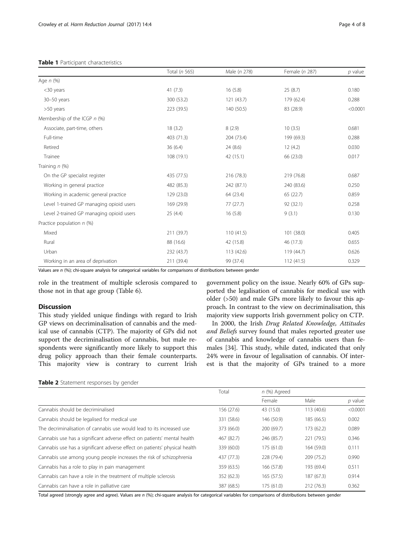## <span id="page-3-0"></span>Table 1 Participant characteristics

|                                          | Total (n 565) | Male (n 278) | Female (n 287) | $p$ value |
|------------------------------------------|---------------|--------------|----------------|-----------|
| Age $n$ (%)                              |               |              |                |           |
| $<$ 30 years                             | 41(7.3)       | 16(5.8)      | 25(8.7)        | 0.180     |
| 30-50 years                              | 300 (53.2)    | 121 (43.7)   | 179 (62.4)     | 0.288     |
| >50 years                                | 223 (39.5)    | 140 (50.5)   | 83 (28.9)      | < 0.0001  |
| Membership of the ICGP $n$ (%)           |               |              |                |           |
| Associate, part-time, others             | 18(3.2)       | 8(2.9)       | 10(3.5)        | 0.681     |
| Full-time                                | 403 (71.3)    | 204 (73.4)   | 199 (69.3)     | 0.288     |
| Retired                                  | 36(6.4)       | 24 (8.6)     | 12(4.2)        | 0.030     |
| Trainee                                  | 108 (19.1)    | 42 (15.1)    | 66 (23.0)      | 0.017     |
| Training $n$ (%)                         |               |              |                |           |
| On the GP specialist register            | 435 (77.5)    | 216 (78.3)   | 219 (76.8)     | 0.687     |
| Working in general practice              | 482 (85.3)    | 242 (87.1)   | 240 (83.6)     | 0.250     |
| Working in academic general practice     | 129 (23.0)    | 64 (23.4)    | 65 (22.7)      | 0.859     |
| Level 1-trained GP managing opioid users | 169 (29.9)    | 77(27.7)     | 92 (32.1)      | 0.258     |
| Level 2-trained GP managing opioid users | 25 (4.4)      | 16(5.8)      | 9(3.1)         | 0.130     |
| Practice population $n$ (%)              |               |              |                |           |
| Mixed                                    | 211 (39.7)    | 110(41.5)    | 101 (38.0)     | 0.405     |
| Rural                                    | 88 (16.6)     | 42 (15.8)    | 46 (17.3)      | 0.655     |
| Urban                                    | 232 (43.7)    | 113 (42.6)   | 119 (44.7)     | 0.626     |
| Working in an area of deprivation        | 211 (39.4)    | 99 (37.4)    | 112 (41.5)     | 0.329     |

Values are n (%); chi-square analysis for categorical variables for comparisons of distributions between gender

role in the treatment of multiple sclerosis compared to those not in that age group (Table [6\)](#page-5-0).

# Discussion

This study yielded unique findings with regard to Irish GP views on decriminalisation of cannabis and the medical use of cannabis (CTP). The majority of GPs did not support the decriminalisation of cannabis, but male respondents were significantly more likely to support this drug policy approach than their female counterparts. This majority view is contrary to current Irish government policy on the issue. Nearly 60% of GPs supported the legalisation of cannabis for medical use with older (>50) and male GPs more likely to favour this approach. In contrast to the view on decriminalisation, this majority view supports Irish government policy on CTP.

In 2000, the Irish Drug Related Knowledge, Attitudes and Beliefs survey found that males reported greater use of cannabis and knowledge of cannabis users than females [\[34](#page-7-0)]. This study, while dated, indicated that only 24% were in favour of legalisation of cannabis. Of interest is that the majority of GPs trained to a more

Table 2 Statement responses by gender

|                                                                            | Total      | n (%) Agreed |            |           |  |
|----------------------------------------------------------------------------|------------|--------------|------------|-----------|--|
|                                                                            |            | Female       | Male       | $p$ value |  |
| Cannabis should be decriminalised                                          | 156 (27.6) | 43 (15.0)    | 113 (40.6) | < 0.0001  |  |
| Cannabis should be legalised for medical use                               | 331 (58.6) | 146 (50.9)   | 185 (66.5) | 0.002     |  |
| The decriminalisation of cannabis use would lead to its increased use      | 373 (66.0) | 200 (69.7)   | 173 (62.2) | 0.089     |  |
| Cannabis use has a significant adverse effect on patients' mental health   | 467 (82.7) | 246 (85.7)   | 221 (79.5) | 0.346     |  |
| Cannabis use has a significant adverse effect on patients' physical health | 339 (60.0) | 175(61.0)    | 164 (59.0) | 0.111     |  |
| Cannabis use among young people increases the risk of schizophrenia        | 437 (77.3) | 228 (79.4)   | 209 (75.2) | 0.990     |  |
| Cannabis has a role to play in pain management                             | 359 (63.5) | 166 (57.8)   | 193 (69.4) | 0.511     |  |
| Cannabis can have a role in the treatment of multiple sclerosis            | 352 (62.3) | 165 (57.5)   | 187 (67.3) | 0.914     |  |
| Cannabis can have a role in palliative care                                | 387 (68.5) | 175 (61.0)   | 212 (76.3) | 0.362     |  |

Total agreed (strongly agree and agree). Values are n (%); chi-square analysis for categorical variables for comparisons of distributions between gender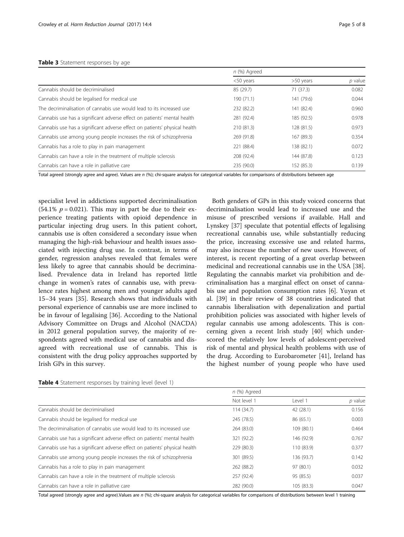<span id="page-4-0"></span>

|                                                                            | $n$ (%) Agreed |            |           |
|----------------------------------------------------------------------------|----------------|------------|-----------|
|                                                                            | $<$ 50 years   | >50 years  | $p$ value |
| Cannabis should be decriminalised                                          | 85 (29.7)      | 71 (37.3)  | 0.082     |
| Cannabis should be legalised for medical use                               | 190 (71.1)     | 141 (79.6) | 0.044     |
| The decriminalisation of cannabis use would lead to its increased use      | 232 (82.2)     | 141 (82.4) | 0.960     |
| Cannabis use has a significant adverse effect on patients' mental health   | 281 (92.4)     | 185 (92.5) | 0.978     |
| Cannabis use has a significant adverse effect on patients' physical health | 210 (81.3)     | 128 (81.5) | 0.973     |
| Cannabis use among young people increases the risk of schizophrenia        | 269 (91.8)     | 167 (89.3) | 0.354     |
| Cannabis has a role to play in pain management                             | 221 (88.4)     | 138 (82.1) | 0.072     |
| Cannabis can have a role in the treatment of multiple sclerosis            | 208 (92.4)     | 144 (87.8) | 0.123     |
| Cannabis can have a role in palliative care                                | 235 (90.0)     | 152 (85.3) | 0.139     |
|                                                                            |                |            |           |

Total agreed (strongly agree and agree). Values are n (%); chi-square analysis for categorical variables for comparisons of distributions between age

specialist level in addictions supported decriminalisation  $(54.1\% \text{ p} = 0.021)$ . This may in part be due to their experience treating patients with opioid dependence in particular injecting drug users. In this patient cohort, cannabis use is often considered a secondary issue when managing the high-risk behaviour and health issues associated with injecting drug use. In contrast, in terms of gender, regression analyses revealed that females were less likely to agree that cannabis should be decriminalised. Prevalence data in Ireland has reported little change in women's rates of cannabis use, with prevalence rates highest among men and younger adults aged 15–34 years [[35](#page-7-0)]. Research shows that individuals with personal experience of cannabis use are more inclined to be in favour of legalising [\[36](#page-7-0)]. According to the National Advisory Committee on Drugs and Alcohol (NACDA) in 2012 general population survey, the majority of respondents agreed with medical use of cannabis and disagreed with recreational use of cannabis. This is consistent with the drug policy approaches supported by Irish GPs in this survey.

Table 4 Statement responses by training level (level 1)

Both genders of GPs in this study voiced concerns that decriminalisation would lead to increased use and the misuse of prescribed versions if available. Hall and Lynskey [\[37\]](#page-7-0) speculate that potential effects of legalising recreational cannabis use, while substantially reducing the price, increasing excessive use and related harms, may also increase the number of new users. However, of interest, is recent reporting of a great overlap between medicinal and recreational cannabis use in the USA [\[38](#page-7-0)]. Regulating the cannabis market via prohibition and decriminalisation has a marginal effect on onset of cannabis use and population consumption rates [[6](#page-7-0)]. Yuyan et al. [\[39\]](#page-7-0) in their review of 38 countries indicated that cannabis liberalisation with depenalization and partial prohibition policies was associated with higher levels of regular cannabis use among adolescents. This is concerning given a recent Irish study [[40\]](#page-7-0) which underscored the relatively low levels of adolescent-perceived risk of mental and physical health problems with use of the drug. According to Eurobarometer [\[41](#page-7-0)], Ireland has the highest number of young people who have used

|                                                                            | $n$ (%) Agreed |            |         |
|----------------------------------------------------------------------------|----------------|------------|---------|
|                                                                            | Not level 1    | Level 1    | p value |
| Cannabis should be decriminalised                                          | 114 (34.7)     | 42 (28.1)  | 0.156   |
| Cannabis should be legalised for medical use                               | 245 (78.5)     | 86 (65.1)  | 0.003   |
| The decriminalisation of cannabis use would lead to its increased use      | 264 (83.0)     | 109 (80.1) | 0.464   |
| Cannabis use has a significant adverse effect on patients' mental health   | 321 (92.2)     | 146 (92.9) | 0.767   |
| Cannabis use has a significant adverse effect on patients' physical health | 229 (80.3)     | 110 (83.9) | 0.377   |
| Cannabis use among young people increases the risk of schizophrenia        | 301 (89.5)     | 136 (93.7) | 0.142   |
| Cannabis has a role to play in pain management                             | 262 (88.2)     | 97 (80.1)  | 0.032   |
| Cannabis can have a role in the treatment of multiple sclerosis            | 257 (92.4)     | 95 (85.5)  | 0.037   |
| Cannabis can have a role in palliative care                                | 282 (90.0)     | 105(83.3)  | 0.047   |

Total agreed (strongly agree and agree).Values are n (%); chi-square analysis for categorical variables for comparisons of distributions between level 1 training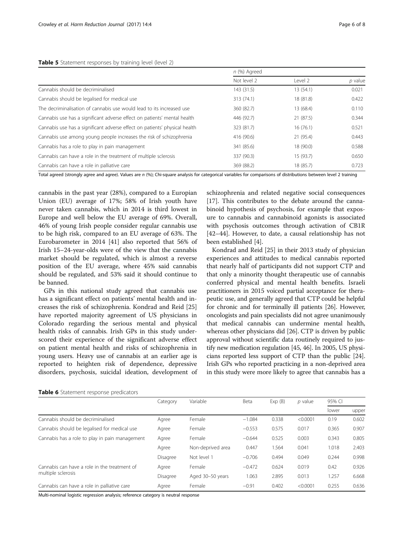<span id="page-5-0"></span>

|                                                                            | n (%) Agreed |           |         |
|----------------------------------------------------------------------------|--------------|-----------|---------|
|                                                                            | Not level 2  | Level 2   | p value |
| Cannabis should be decriminalised                                          | 143(31.5)    | 13(54.1)  | 0.021   |
| Cannabis should be legalised for medical use                               | 313 (74.1)   | 18 (81.8) | 0.422   |
| The decriminalisation of cannabis use would lead to its increased use      | 360 (82.7)   | 13 (68.4) | 0.110   |
| Cannabis use has a significant adverse effect on patients' mental health   | 446 (92.7)   | 21(87.5)  | 0.344   |
| Cannabis use has a significant adverse effect on patients' physical health | 323 (81.7)   | 16(76.1)  | 0.521   |
| Cannabis use among young people increases the risk of schizophrenia        | 416 (90.6)   | 21 (95.4) | 0.443   |
| Cannabis has a role to play in pain management                             | 341 (85.6)   | 18 (90.0) | 0.588   |
| Cannabis can have a role in the treatment of multiple sclerosis            | 337 (90.3)   | 15(93.7)  | 0.650   |
| Cannabis can have a role in palliative care                                | 369 (88.2)   | 18 (85.7) | 0.723   |

Total agreed (strongly agree and agree). Values are n (%); Chi-square analysis for categorical variables for comparisons of distributions between level 2 training

cannabis in the past year (28%), compared to a Europian Union (EU) average of 17%; 58% of Irish youth have never taken cannabis, which in 2014 is third lowest in Europe and well below the EU average of 69%. Overall, 46% of young Irish people consider regular cannabis use to be high risk, compared to an EU average of 63%. The Eurobarometer in 2014 [\[41\]](#page-7-0) also reported that 56% of Irish 15–24-year-olds were of the view that the cannabis market should be regulated, which is almost a reverse position of the EU average, where 45% said cannabis should be regulated, and 53% said it should continue to be banned.

GPs in this national study agreed that cannabis use has a significant effect on patients' mental health and increases the risk of schizophrenia. Kondrad and Reid [[25](#page-7-0)] have reported majority agreement of US physicians in Colorado regarding the serious mental and physical health risks of cannabis. Irish GPs in this study underscored their experience of the significant adverse effect on patient mental health and risks of schizophrenia in young users. Heavy use of cannabis at an earlier age is reported to heighten risk of dependence, depressive disorders, psychosis, suicidal ideation, development of

schizophrenia and related negative social consequences [[17\]](#page-7-0). This contributes to the debate around the cannabinoid hypothesis of psychosis, for example that exposure to cannabis and cannabinoid agonists is associated with psychosis outcomes through activation of CB1R [[42](#page-7-0)–[44](#page-7-0)]. However, to date, a causal relationship has not been established [[4\]](#page-6-0).

Kondrad and Reid [\[25](#page-7-0)] in their 2013 study of physician experiences and attitudes to medical cannabis reported that nearly half of participants did not support CTP and that only a minority thought therapeutic use of cannabis conferred physical and mental health benefits. Israeli practitioners in 2015 voiced partial acceptance for therapeutic use, and generally agreed that CTP could be helpful for chronic and for terminally ill patients [\[26](#page-7-0)]. However, oncologists and pain specialists did not agree unanimously that medical cannabis can undermine mental health, whereas other physicians did [\[26\]](#page-7-0). CTP is driven by public approval without scientific data routinely required to justify new medication regulation [\[45](#page-7-0), [46](#page-7-0)]. In 2005, US physicians reported less support of CTP than the public [[24](#page-7-0)]. Irish GPs who reported practicing in a non-deprived area in this study were more likely to agree that cannabis has a

| <b>Table 6</b> Statement response predicators                      |          |                   |          |        |           |        |       |
|--------------------------------------------------------------------|----------|-------------------|----------|--------|-----------|--------|-------|
|                                                                    | Category | Variable          | Beta     | Exp(B) | $p$ value | 95% CI |       |
|                                                                    |          |                   |          |        |           | lower  | upper |
| Cannabis should be decriminalised                                  | Agree    | Female            | $-1.084$ | 0.338  | < 0.0001  | 0.19   | 0.602 |
| Cannabis should be legalised for medical use                       | Agree    | Female            | $-0.553$ | 0.575  | 0.017     | 0.365  | 0.907 |
| Cannabis has a role to play in pain management                     | Agree    | Female            | $-0.644$ | 0.525  | 0.003     | 0.343  | 0.805 |
|                                                                    | Agree    | Non-deprived area | 0.447    | 1.564  | 0.041     | 1.018  | 2.403 |
|                                                                    | Disagree | Not level 1       | $-0.706$ | 0.494  | 0.049     | 0.244  | 0.998 |
| Cannabis can have a role in the treatment of<br>multiple sclerosis | Agree    | Female            | $-0.472$ | 0.624  | 0.019     | 0.42   | 0.926 |
|                                                                    | Disagree | Aged 30-50 years  | 1.063    | 2.895  | 0.013     | .257   | 6.668 |
| Cannabis can have a role in palliative care                        | Agree    | Female            | $-0.91$  | 0.402  | < 0.0001  | 0.255  | 0.636 |

Multi-nominal logistic regression analysis; reference category is neutral response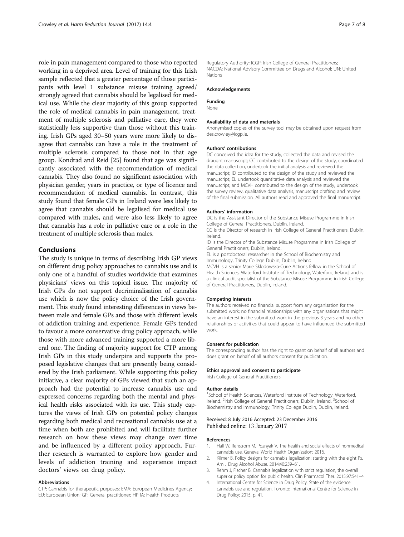<span id="page-6-0"></span>role in pain management compared to those who reported working in a deprived area. Level of training for this Irish sample reflected that a greater percentage of those participants with level 1 substance misuse training agreed/ strongly agreed that cannabis should be legalised for medical use. While the clear majority of this group supported the role of medical cannabis in pain management, treatment of multiple sclerosis and palliative care, they were statistically less supportive than those without this training. Irish GPs aged 30–50 years were more likely to disagree that cannabis can have a role in the treatment of multiple sclerosis compared to those not in that age group. Kondrad and Reid [\[25](#page-7-0)] found that age was significantly associated with the recommendation of medical cannabis. They also found no significant association with physician gender, years in practice, or type of licence and recommendation of medical cannabis. In contrast, this study found that female GPs in Ireland were less likely to agree that cannabis should be legalised for medical use compared with males, and were also less likely to agree that cannabis has a role in palliative care or a role in the treatment of multiple sclerosis than males.

## Conclusions

The study is unique in terms of describing Irish GP views on different drug policy approaches to cannabis use and is only one of a handful of studies worldwide that examines physicians' views on this topical issue. The majority of Irish GPs do not support decriminalisation of cannabis use which is now the policy choice of the Irish government. This study found interesting differences in views between male and female GPs and those with different levels of addiction training and experience. Female GPs tended to favour a more conservative drug policy approach, while those with more advanced training supported a more liberal one. The finding of majority support for CTP among Irish GPs in this study underpins and supports the proposed legislative changes that are presently being considered by the Irish parliament. While supporting this policy initiative, a clear majority of GPs viewed that such an approach had the potential to increase cannabis use and expressed concerns regarding both the mental and physical health risks associated with its use. This study captures the views of Irish GPs on potential policy changes regarding both medical and recreational cannabis use at a time when both are prohibited and will facilitate further research on how these views may change over time and be influenced by a different policy approach. Further research is warranted to explore how gender and levels of addiction training and experience impact doctors' views on drug policy.

#### Abbreviations

CTP: Cannabis for therapeutic purposes; EMA: European Medicines Agency; EU: European Union; GP: General practitioner; HPRA: Health Products

Regulatory Authority; ICGP: Irish College of General Practitioners; NACDA: National Advisory Committee on Drugs and Alcohol; UN: United Nations

#### Acknowledgements

Funding None

#### Availability of data and materials

Anonymised copies of the survey tool may be obtained upon request from des.crowley@icgp.ie.

#### Authors' contributions

DC conceived the idea for the study, collected the data and revised the draught manuscript; CC contributed to the design of the study, coordinated the data collection, undertook the initial analysis and reviewed the manuscript; ID contributed to the design of the study and reviewed the manuscript; EL undertook quantitative data analysis and reviewed the manuscript; and MCVH contributed to the design of the study, undertook the survey review, qualitative data analysis, manuscript drafting and review of the final submission. All authors read and approved the final manuscript.

#### Authors' information

DC is the Assistant Director of the Substance Misuse Programme in Irish College of General Practitioners, Dublin, Ireland.

CC is the Director of research in Irish College of General Practitioners, Dublin, Ireland.

ID is the Director of the Substance Misuse Programme in Irish College of General Practitioners, Dublin, Ireland.

EL is a postdoctoral researcher in the School of Biochemistry and Immunology, Trinity College Dublin, Dublin, Ireland.

MCVH is a senior Marie Sklodowska-Curie Actions fellow in the School of Health Sciences, Waterford Institute of Technology, Waterford, Ireland, and is a clinical audit specialist of the Substance Misuse Programme in Irish College of General Practitioners, Dublin, Ireland.

#### Competing interests

The authors received no financial support from any organisation for the submitted work; no financial relationships with any organisations that might have an interest in the submitted work in the previous 3 years and no other relationships or activities that could appear to have influenced the submitted work.

#### Consent for publication

The corresponding author has the right to grant on behalf of all authors and does grant on behalf of all authors consent for publication.

#### Ethics approval and consent to participate

Irish College of General Practitioners

#### Author details

<sup>1</sup>School of Health Sciences, Waterford Institute of Technology, Waterford Ireland. <sup>2</sup>Irish College of General Practitioners, Dublin, Ireland. <sup>3</sup>School of Biochemistry and Immunology, Trinity College Dublin, Dublin, Ireland.

#### Received: 8 July 2016 Accepted: 23 December 2016 Published online: 13 January 2017

#### References

- 1. Hall W, Renstrom M, Poznyak V. The health and social effects of nonmedical cannabis use. Geneva: World Health Organization; 2016.
- 2. Kilmer B. Policy designs for cannabis legalization: starting with the eight Ps. Am J Drug Alcohol Abuse. 2014;40:259–61.
- 3. Rehm J, Fischer B. Cannabis legalization with strict regulation, the overall superior policy option for public health. Clin Pharmacol Ther. 2015;97:541–4.
- 4. International Centre for Science in Drug Policy. State of the evidence: cannabis use and regulation. Toronto: International Centre for Science in Drug Policy; 2015. p. 41.